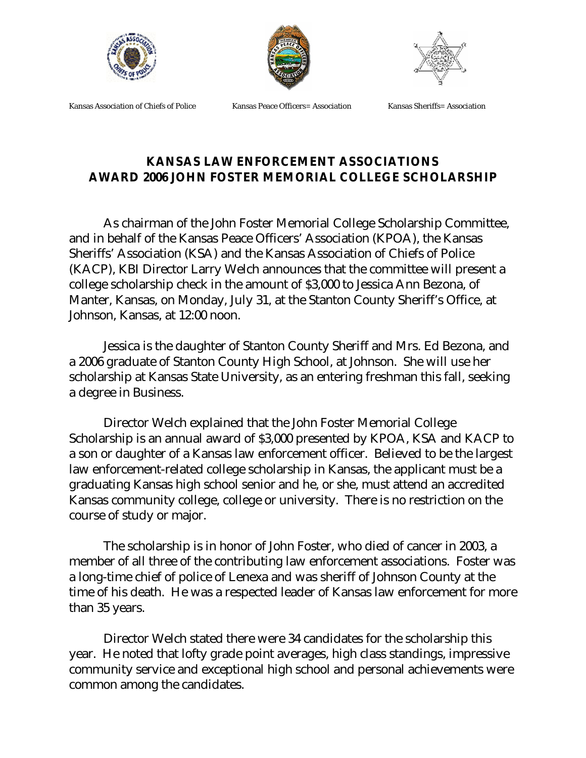





Kansas Association of Chiefs of Police Kansas Peace Officers= Association Kansas Sheriffs= Association

## **KANSAS LAW ENFORCEMENT ASSOCIATIONS AWARD 2006 JOHN FOSTER MEMORIAL COLLEGE SCHOLARSHIP**

As chairman of the John Foster Memorial College Scholarship Committee, and in behalf of the Kansas Peace Officers' Association (KPOA), the Kansas Sheriffs' Association (KSA) and the Kansas Association of Chiefs of Police (KACP), KBI Director Larry Welch announces that the committee will present a college scholarship check in the amount of \$3,000 to Jessica Ann Bezona, of Manter, Kansas, on Monday, July 31, at the Stanton County Sheriff's Office, at Johnson, Kansas, at 12:00 noon.

Jessica is the daughter of Stanton County Sheriff and Mrs. Ed Bezona, and a 2006 graduate of Stanton County High School, at Johnson. She will use her scholarship at Kansas State University, as an entering freshman this fall, seeking a degree in Business.

Director Welch explained that the John Foster Memorial College Scholarship is an annual award of \$3,000 presented by KPOA, KSA and KACP to a son or daughter of a Kansas law enforcement officer. Believed to be the largest law enforcement-related college scholarship in Kansas, the applicant must be a graduating Kansas high school senior and he, or she, must attend an accredited Kansas community college, college or university. There is no restriction on the course of study or major.

The scholarship is in honor of John Foster, who died of cancer in 2003, a member of all three of the contributing law enforcement associations. Foster was a long-time chief of police of Lenexa and was sheriff of Johnson County at the time of his death. He was a respected leader of Kansas law enforcement for more than 35 years.

Director Welch stated there were 34 candidates for the scholarship this year. He noted that lofty grade point averages, high class standings, impressive community service and exceptional high school and personal achievements were common among the candidates.